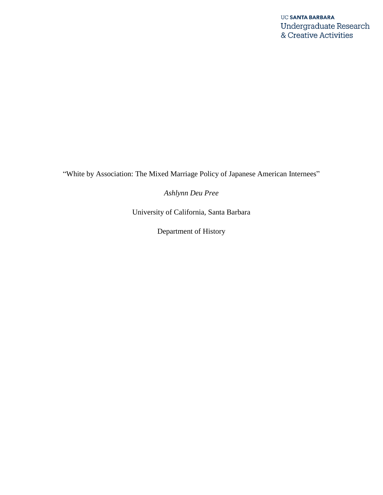"White by Association: The Mixed Marriage Policy of Japanese American Internees"

*Ashlynn Deu Pree*

University of California, Santa Barbara

Department of History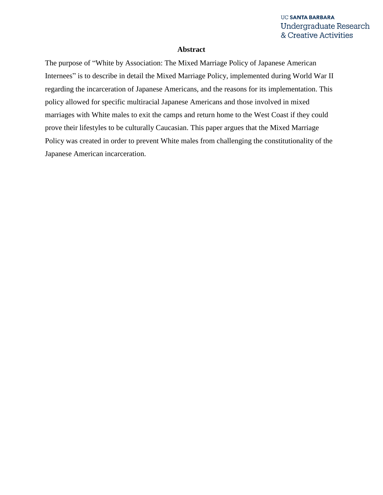#### **Abstract**

The purpose of "White by Association: The Mixed Marriage Policy of Japanese American Internees" is to describe in detail the Mixed Marriage Policy, implemented during World War II regarding the incarceration of Japanese Americans, and the reasons for its implementation. This policy allowed for specific multiracial Japanese Americans and those involved in mixed marriages with White males to exit the camps and return home to the West Coast if they could prove their lifestyles to be culturally Caucasian. This paper argues that the Mixed Marriage Policy was created in order to prevent White males from challenging the constitutionality of the Japanese American incarceration.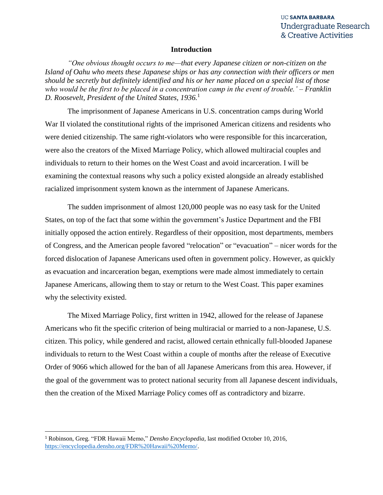#### **Introduction**

*"One obvious thought occurs to me—that every Japanese citizen or non-citizen on the Island of Oahu who meets these Japanese ships or has any connection with their officers or men should be secretly but definitely identified and his or her name placed on a special list of those who would be the first to be placed in a concentration camp in the event of trouble.' – Franklin D. Roosevelt, President of the United States, 1936.*<sup>1</sup>

The imprisonment of Japanese Americans in U.S. concentration camps during World War II violated the constitutional rights of the imprisoned American citizens and residents who were denied citizenship. The same right-violators who were responsible for this incarceration, were also the creators of the Mixed Marriage Policy, which allowed multiracial couples and individuals to return to their homes on the West Coast and avoid incarceration. I will be examining the contextual reasons why such a policy existed alongside an already established racialized imprisonment system known as the internment of Japanese Americans.

The sudden imprisonment of almost 120,000 people was no easy task for the United States, on top of the fact that some within the government's Justice Department and the FBI initially opposed the action entirely. Regardless of their opposition, most departments, members of Congress, and the American people favored "relocation" or "evacuation" – nicer words for the forced dislocation of Japanese Americans used often in government policy. However, as quickly as evacuation and incarceration began, exemptions were made almost immediately to certain Japanese Americans, allowing them to stay or return to the West Coast. This paper examines why the selectivity existed.

The Mixed Marriage Policy, first written in 1942, allowed for the release of Japanese Americans who fit the specific criterion of being multiracial or married to a non-Japanese, U.S. citizen. This policy, while gendered and racist, allowed certain ethnically full-blooded Japanese individuals to return to the West Coast within a couple of months after the release of Executive Order of 9066 which allowed for the ban of all Japanese Americans from this area. However, if the goal of the government was to protect national security from all Japanese descent individuals, then the creation of the Mixed Marriage Policy comes off as contradictory and bizarre.

 $\overline{\phantom{a}}$ 

<sup>1</sup> Robinson, Greg. "FDR Hawaii Memo," *Densho Encyclopedia*, last modified October 10, 2016, [https://encyclopedia.densho.org/FDR%20Hawaii%20Memo/.](https://encyclopedia.densho.org/FDR%20Hawaii%20Memo/)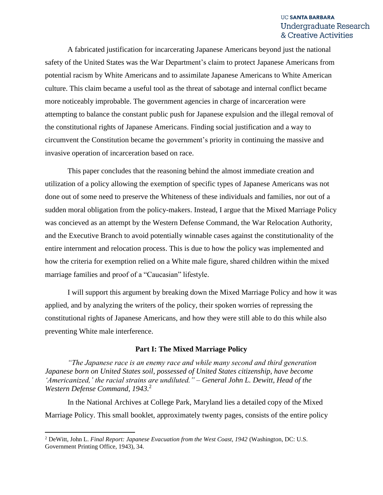A fabricated justification for incarcerating Japanese Americans beyond just the national safety of the United States was the War Department's claim to protect Japanese Americans from potential racism by White Americans and to assimilate Japanese Americans to White American culture. This claim became a useful tool as the threat of sabotage and internal conflict became more noticeably improbable. The government agencies in charge of incarceration were attempting to balance the constant public push for Japanese expulsion and the illegal removal of the constitutional rights of Japanese Americans. Finding social justification and a way to circumvent the Constitution became the government's priority in continuing the massive and invasive operation of incarceration based on race.

This paper concludes that the reasoning behind the almost immediate creation and utilization of a policy allowing the exemption of specific types of Japanese Americans was not done out of some need to preserve the Whiteness of these individuals and families, nor out of a sudden moral obligation from the policy-makers. Instead, I argue that the Mixed Marriage Policy was concieved as an attempt by the Western Defense Command, the War Relocation Authority, and the Executive Branch to avoid potentially winnable cases against the constitutionality of the entire internment and relocation process. This is due to how the policy was implemented and how the criteria for exemption relied on a White male figure, shared children within the mixed marriage families and proof of a "Caucasian" lifestyle.

I will support this argument by breaking down the Mixed Marriage Policy and how it was applied, and by analyzing the writers of the policy, their spoken worries of repressing the constitutional rights of Japanese Americans, and how they were still able to do this while also preventing White male interference.

#### **Part I: The Mixed Marriage Policy**

*"The Japanese race is an enemy race and while many second and third generation Japanese born on United States soil, possessed of United States citizenship, have become 'Americanized,' the racial strains are undiluted." – General John L. Dewitt, Head of the Western Defense Command, 1943.* 2

In the National Archives at College Park, Maryland lies a detailed copy of the Mixed Marriage Policy. This small booklet, approximately twenty pages, consists of the entire policy

<sup>2</sup> DeWitt, John L. *Final Report: Japanese Evacuation from the West Coast, 1942* (Washington, DC: U.S. Government Printing Office, 1943), 34.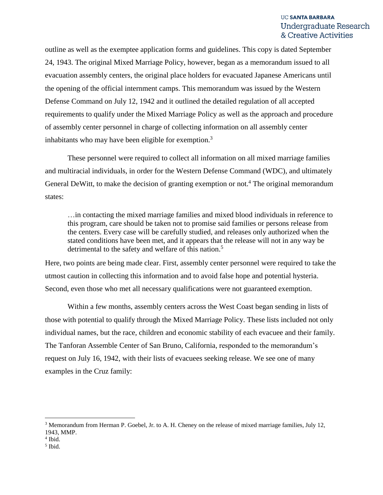outline as well as the exemptee application forms and guidelines. This copy is dated September 24, 1943. The original Mixed Marriage Policy, however, began as a memorandum issued to all evacuation assembly centers, the original place holders for evacuated Japanese Americans until the opening of the official internment camps. This memorandum was issued by the Western Defense Command on July 12, 1942 and it outlined the detailed regulation of all accepted requirements to qualify under the Mixed Marriage Policy as well as the approach and procedure of assembly center personnel in charge of collecting information on all assembly center inhabitants who may have been eligible for exemption. $3$ 

These personnel were required to collect all information on all mixed marriage families and multiracial individuals, in order for the Western Defense Command (WDC), and ultimately General DeWitt, to make the decision of granting exemption or not.<sup>4</sup> The original memorandum states:

…in contacting the mixed marriage families and mixed blood individuals in reference to this program, care should be taken not to promise said families or persons release from the centers. Every case will be carefully studied, and releases only authorized when the stated conditions have been met, and it appears that the release will not in any way be detrimental to the safety and welfare of this nation.<sup>5</sup>

Here, two points are being made clear. First, assembly center personnel were required to take the utmost caution in collecting this information and to avoid false hope and potential hysteria. Second, even those who met all necessary qualifications were not guaranteed exemption.

Within a few months, assembly centers across the West Coast began sending in lists of those with potential to qualify through the Mixed Marriage Policy. These lists included not only individual names, but the race, children and economic stability of each evacuee and their family. The Tanforan Assemble Center of San Bruno, California, responded to the memorandum's request on July 16, 1942, with their lists of evacuees seeking release. We see one of many examples in the Cruz family:

<sup>&</sup>lt;sup>3</sup> Memorandum from Herman P. Goebel, Jr. to A. H. Cheney on the release of mixed marriage families, July 12, 1943, MMP.

<sup>4</sup> Ibid.

<sup>5</sup> Ibid.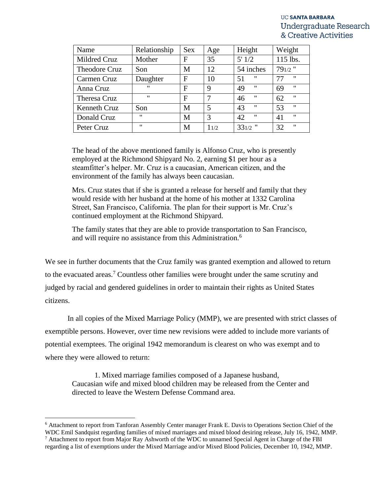| Name          | Relationship      | <b>Sex</b> | Age  | Height                  | Weight                  |
|---------------|-------------------|------------|------|-------------------------|-------------------------|
| Mildred Cruz  | Mother            | F          | 35   | 5'1/2                   | 115 lbs.                |
| Theodore Cruz | Son               | M          | 12   | 54 inches               | $791/2$ "               |
| Carmen Cruz   | Daughter          | F          | 10   | "<br>51                 | $^{\prime\prime}$<br>77 |
| Anna Cruz     | $^{\prime\prime}$ | F          | 9    | $^{\prime\prime}$<br>49 | $^{\prime\prime}$<br>69 |
| Theresa Cruz  | $^{\prime\prime}$ | F          | 7    | $^{\prime\prime}$<br>46 | $^{\prime\prime}$<br>62 |
| Kenneth Cruz  | Son               | M          | 5    | $^{\prime\prime}$<br>43 | $^{\prime\prime}$<br>53 |
| Donald Cruz   | $^{\prime\prime}$ | M          | 3    | $^{\prime\prime}$<br>42 | $^{\prime\prime}$<br>41 |
| Peter Cruz    | $^{\prime\prime}$ | M          | 11/2 | $331/2$ "               | $^{\prime}$<br>32       |

The head of the above mentioned family is Alfonso Cruz, who is presently employed at the Richmond Shipyard No. 2, earning \$1 per hour as a steamfitter's helper. Mr. Cruz is a caucasian, American citizen, and the environment of the family has always been caucasian.

Mrs. Cruz states that if she is granted a release for herself and family that they would reside with her husband at the home of his mother at 1332 Carolina Street, San Francisco, California. The plan for their support is Mr. Cruz's continued employment at the Richmond Shipyard.

The family states that they are able to provide transportation to San Francisco, and will require no assistance from this Administration.<sup>6</sup>

We see in further documents that the Cruz family was granted exemption and allowed to return to the evacuated areas.<sup>7</sup> Countless other families were brought under the same scrutiny and judged by racial and gendered guidelines in order to maintain their rights as United States citizens.

In all copies of the Mixed Marriage Policy (MMP), we are presented with strict classes of exemptible persons. However, over time new revisions were added to include more variants of potential exemptees. The original 1942 memorandum is clearest on who was exempt and to where they were allowed to return:

1. Mixed marriage families composed of a Japanese husband, Caucasian wife and mixed blood children may be released from the Center and directed to leave the Western Defense Command area.

<sup>6</sup> Attachment to report from Tanforan Assembly Center manager Frank E. Davis to Operations Section Chief of the

WDC Emil Sandquist regarding families of mixed marriages and mixed blood desiring release, July 16, 1942, MMP. <sup>7</sup> Attachment to report from Major Ray Ashworth of the WDC to unnamed Special Agent in Charge of the FBI

regarding a list of exemptions under the Mixed Marriage and/or Mixed Blood Policies, December 10, 1942, MMP.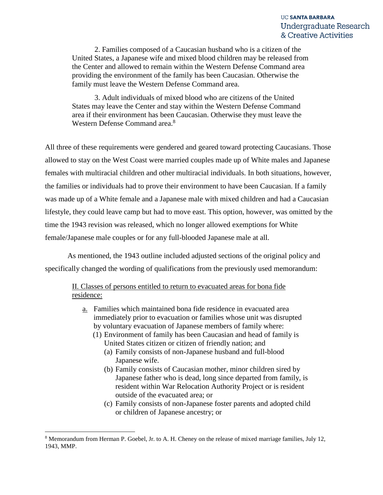2. Families composed of a Caucasian husband who is a citizen of the United States, a Japanese wife and mixed blood children may be released from the Center and allowed to remain within the Western Defense Command area providing the environment of the family has been Caucasian. Otherwise the family must leave the Western Defense Command area.

3. Adult individuals of mixed blood who are citizens of the United States may leave the Center and stay within the Western Defense Command area if their environment has been Caucasian. Otherwise they must leave the Western Defense Command area.<sup>8</sup>

All three of these requirements were gendered and geared toward protecting Caucasians. Those allowed to stay on the West Coast were married couples made up of White males and Japanese females with multiracial children and other multiracial individuals. In both situations, however, the families or individuals had to prove their environment to have been Caucasian. If a family was made up of a White female and a Japanese male with mixed children and had a Caucasian lifestyle, they could leave camp but had to move east. This option, however, was omitted by the time the 1943 revision was released, which no longer allowed exemptions for White female/Japanese male couples or for any full-blooded Japanese male at all.

As mentioned, the 1943 outline included adjusted sections of the original policy and specifically changed the wording of qualifications from the previously used memorandum:

II. Classes of persons entitled to return to evacuated areas for bona fide residence:

- a. Families which maintained bona fide residence in evacuated area immediately prior to evacuation or families whose unit was disrupted by voluntary evacuation of Japanese members of family where:
	- (1) Environment of family has been Caucasian and head of family is United States citizen or citizen of friendly nation; and
		- (a) Family consists of non-Japanese husband and full-blood Japanese wife.
		- (b) Family consists of Caucasian mother, minor children sired by Japanese father who is dead, long since departed from family, is resident within War Relocation Authority Project or is resident outside of the evacuated area; or
		- (c) Family consists of non-Japanese foster parents and adopted child or children of Japanese ancestry; or

l

<sup>8</sup> Memorandum from Herman P. Goebel, Jr. to A. H. Cheney on the release of mixed marriage families, July 12, 1943, MMP.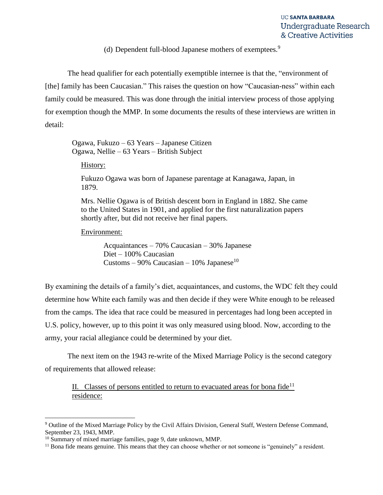(d) Dependent full-blood Japanese mothers of exemptees.<sup>9</sup>

The head qualifier for each potentially exemptible internee is that the, "environment of [the] family has been Caucasian." This raises the question on how "Caucasian-ness" within each family could be measured. This was done through the initial interview process of those applying for exemption though the MMP. In some documents the results of these interviews are written in detail:

Ogawa, Fukuzo – 63 Years – Japanese Citizen Ogawa, Nellie – 63 Years – British Subject

History:

Fukuzo Ogawa was born of Japanese parentage at Kanagawa, Japan, in 1879.

Mrs. Nellie Ogawa is of British descent born in England in 1882. She came to the United States in 1901, and applied for the first naturalization papers shortly after, but did not receive her final papers.

#### Environment:

Acquaintances – 70% Caucasian – 30% Japanese Diet – 100% Caucasian Customs – 90% Caucasian – 10% Japanese<sup>10</sup>

By examining the details of a family's diet, acquaintances, and customs, the WDC felt they could determine how White each family was and then decide if they were White enough to be released from the camps. The idea that race could be measured in percentages had long been accepted in U.S. policy, however, up to this point it was only measured using blood. Now, according to the army, your racial allegiance could be determined by your diet.

The next item on the 1943 re-write of the Mixed Marriage Policy is the second category of requirements that allowed release:

II. Classes of persons entitled to return to evacuated areas for bona  $\text{fide}^{11}$ residence:

<sup>9</sup> Outline of the Mixed Marriage Policy by the Civil Affairs Division, General Staff, Western Defense Command, September 23, 1943, MMP.

<sup>&</sup>lt;sup>10</sup> Summary of mixed marriage families, page 9, date unknown, MMP.

<sup>&</sup>lt;sup>11</sup> Bona fide means genuine. This means that they can choose whether or not someone is "genuinely" a resident.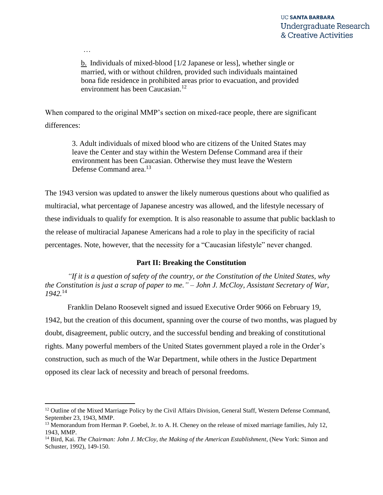…

 $\overline{\phantom{a}}$ 

b. Individuals of mixed-blood [1/2 Japanese or less], whether single or married, with or without children, provided such individuals maintained bona fide residence in prohibited areas prior to evacuation, and provided environment has been Caucasian.<sup>12</sup>

When compared to the original MMP's section on mixed-race people, there are significant differences:

3. Adult individuals of mixed blood who are citizens of the United States may leave the Center and stay within the Western Defense Command area if their environment has been Caucasian. Otherwise they must leave the Western Defense Command area.<sup>13</sup>

The 1943 version was updated to answer the likely numerous questions about who qualified as multiracial, what percentage of Japanese ancestry was allowed, and the lifestyle necessary of these individuals to qualify for exemption. It is also reasonable to assume that public backlash to the release of multiracial Japanese Americans had a role to play in the specificity of racial percentages. Note, however, that the necessity for a "Caucasian lifestyle" never changed.

# **Part II: Breaking the Constitution**

*"If it is a question of safety of the country, or the Constitution of the United States, why the Constitution is just a scrap of paper to me." – John J. McCloy, Assistant Secretary of War, 1942.*<sup>14</sup>

Franklin Delano Roosevelt signed and issued Executive Order 9066 on February 19, 1942, but the creation of this document, spanning over the course of two months, was plagued by doubt, disagreement, public outcry, and the successful bending and breaking of constitutional rights. Many powerful members of the United States government played a role in the Order's construction, such as much of the War Department, while others in the Justice Department opposed its clear lack of necessity and breach of personal freedoms.

<sup>&</sup>lt;sup>12</sup> Outline of the Mixed Marriage Policy by the Civil Affairs Division, General Staff, Western Defense Command, September 23, 1943, MMP.

<sup>&</sup>lt;sup>13</sup> Memorandum from Herman P. Goebel, Jr. to A. H. Cheney on the release of mixed marriage families, July 12, 1943, MMP.

<sup>14</sup> Bird, Kai. *The Chairman: John J. McCloy, the Making of the American Establishment*, (New York: Simon and Schuster, 1992), 149-150.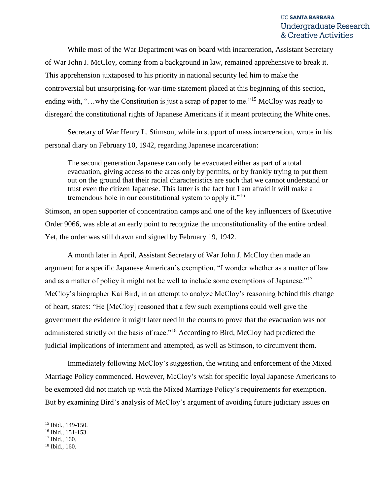While most of the War Department was on board with incarceration, Assistant Secretary of War John J. McCloy, coming from a background in law, remained apprehensive to break it. This apprehension juxtaposed to his priority in national security led him to make the controversial but unsurprising-for-war-time statement placed at this beginning of this section, ending with, "...why the Constitution is just a scrap of paper to me."<sup>15</sup> McCloy was ready to disregard the constitutional rights of Japanese Americans if it meant protecting the White ones.

Secretary of War Henry L. Stimson, while in support of mass incarceration, wrote in his personal diary on February 10, 1942, regarding Japanese incarceration:

The second generation Japanese can only be evacuated either as part of a total evacuation, giving access to the areas only by permits, or by frankly trying to put them out on the ground that their racial characteristics are such that we cannot understand or trust even the citizen Japanese. This latter is the fact but I am afraid it will make a tremendous hole in our constitutional system to apply it."<sup>16</sup>

Stimson, an open supporter of concentration camps and one of the key influencers of Executive Order 9066, was able at an early point to recognize the unconstitutionality of the entire ordeal. Yet, the order was still drawn and signed by February 19, 1942.

A month later in April, Assistant Secretary of War John J. McCloy then made an argument for a specific Japanese American's exemption, "I wonder whether as a matter of law and as a matter of policy it might not be well to include some exemptions of Japanese."<sup>17</sup> McCloy's biographer Kai Bird, in an attempt to analyze McCloy's reasoning behind this change of heart, states: "He [McCloy] reasoned that a few such exemptions could well give the government the evidence it might later need in the courts to prove that the evacuation was not administered strictly on the basis of race."<sup>18</sup> According to Bird, McCloy had predicted the judicial implications of internment and attempted, as well as Stimson, to circumvent them.

Immediately following McCloy's suggestion, the writing and enforcement of the Mixed Marriage Policy commenced. However, McCloy's wish for specific loyal Japanese Americans to be exempted did not match up with the Mixed Marriage Policy's requirements for exemption. But by examining Bird's analysis of McCloy's argument of avoiding future judiciary issues on

<sup>15</sup> Ibid., 149-150.

<sup>16</sup> Ibid., 151-153.

 $17$  Ibid., 160.

<sup>18</sup> Ibid., 160.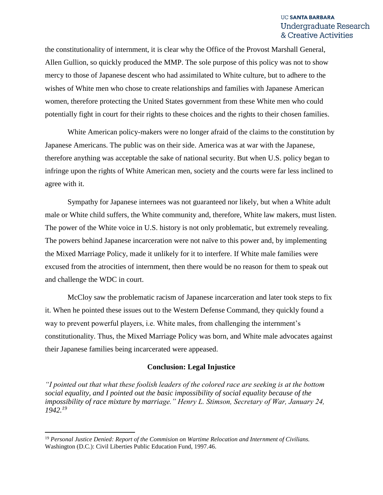the constitutionality of internment, it is clear why the Office of the Provost Marshall General, Allen Gullion, so quickly produced the MMP. The sole purpose of this policy was not to show mercy to those of Japanese descent who had assimilated to White culture, but to adhere to the wishes of White men who chose to create relationships and families with Japanese American women, therefore protecting the United States government from these White men who could potentially fight in court for their rights to these choices and the rights to their chosen families.

White American policy-makers were no longer afraid of the claims to the constitution by Japanese Americans. The public was on their side. America was at war with the Japanese, therefore anything was acceptable the sake of national security. But when U.S. policy began to infringe upon the rights of White American men, society and the courts were far less inclined to agree with it.

Sympathy for Japanese internees was not guaranteed nor likely, but when a White adult male or White child suffers, the White community and, therefore, White law makers, must listen. The power of the White voice in U.S. history is not only problematic, but extremely revealing. The powers behind Japanese incarceration were not naïve to this power and, by implementing the Mixed Marriage Policy, made it unlikely for it to interfere. If White male families were excused from the atrocities of internment, then there would be no reason for them to speak out and challenge the WDC in court.

McCloy saw the problematic racism of Japanese incarceration and later took steps to fix it. When he pointed these issues out to the Western Defense Command, they quickly found a way to prevent powerful players, i.e. White males, from challenging the internment's constitutionality. Thus, the Mixed Marriage Policy was born, and White male advocates against their Japanese families being incarcerated were appeased.

#### **Conclusion: Legal Injustice**

*"I pointed out that what these foolish leaders of the colored race are seeking is at the bottom social equality, and I pointed out the basic impossibility of social equality because of the impossibility of race mixture by marriage." Henry L. Stimson, Secretary of War, January 24, 1942.<sup>19</sup>*

<sup>19</sup> *Personal Justice Denied: Report of the Commision on Wartime Relocation and Internment of Civilians.*  Washington (D.C.): Civil Liberties Public Education Fund, 1997.46.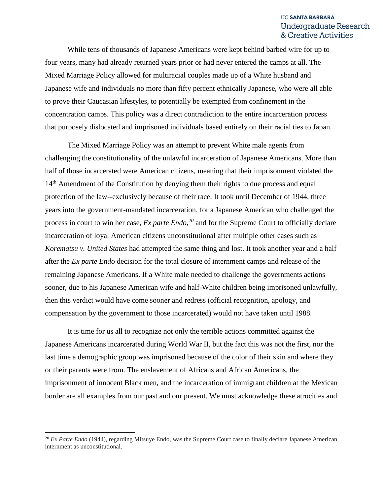While tens of thousands of Japanese Americans were kept behind barbed wire for up to four years, many had already returned years prior or had never entered the camps at all. The Mixed Marriage Policy allowed for multiracial couples made up of a White husband and Japanese wife and individuals no more than fifty percent ethnically Japanese, who were all able to prove their Caucasian lifestyles, to potentially be exempted from confinement in the concentration camps. This policy was a direct contradiction to the entire incarceration process that purposely dislocated and imprisoned individuals based entirely on their racial ties to Japan.

The Mixed Marriage Policy was an attempt to prevent White male agents from challenging the constitutionality of the unlawful incarceration of Japanese Americans. More than half of those incarcerated were American citizens, meaning that their imprisonment violated the 14<sup>th</sup> Amendment of the Constitution by denying them their rights to due process and equal protection of the law--exclusively because of their race. It took until December of 1944, three years into the government-mandated incarceration, for a Japanese American who challenged the process in court to win her case, *Ex parte Endo, <sup>20</sup>* and for the Supreme Court to officially declare incarceration of loyal American citizens unconstitutional after multiple other cases such as *Korematsu v. United States* had attempted the same thing and lost. It took another year and a half after the *Ex parte Endo* decision for the total closure of internment camps and release of the remaining Japanese Americans. If a White male needed to challenge the governments actions sooner, due to his Japanese American wife and half-White children being imprisoned unlawfully, then this verdict would have come sooner and redress (official recognition, apology, and compensation by the government to those incarcerated) would not have taken until 1988.

It is time for us all to recognize not only the terrible actions committed against the Japanese Americans incarcerated during World War II, but the fact this was not the first, nor the last time a demographic group was imprisoned because of the color of their skin and where they or their parents were from. The enslavement of Africans and African Americans, the imprisonment of innocent Black men, and the incarceration of immigrant children at the Mexican border are all examples from our past and our present. We must acknowledge these atrocities and

<sup>&</sup>lt;sup>20</sup> *Ex Parte Endo* (1944), regarding Mitsuye Endo, was the Supreme Court case to finally declare Japanese American internment as unconstitutional.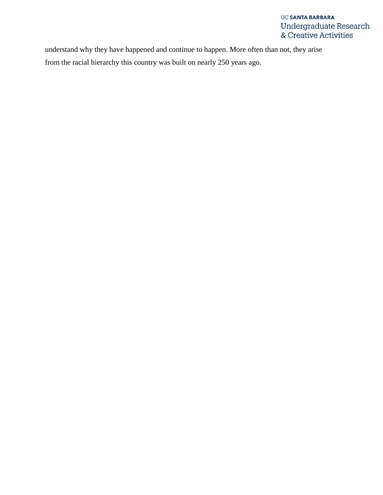understand why they have happened and continue to happen. More often than not, they arise from the racial hierarchy this country was built on nearly 250 years ago.